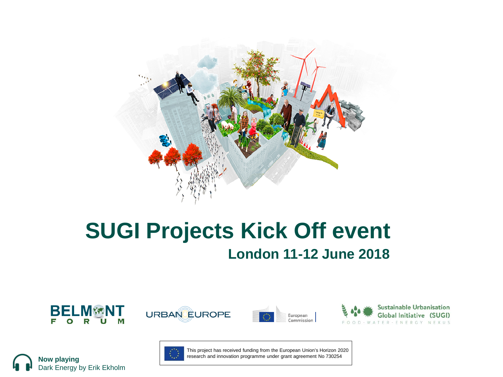

#### **SUGI Projects Kick Off event London 11-12 June 2018**



Dark Energy by Erik Ekholm

**Now playing**









This project has received funding from the European Union's Horizon 2020 research and innovation programme under grant agreement No 730254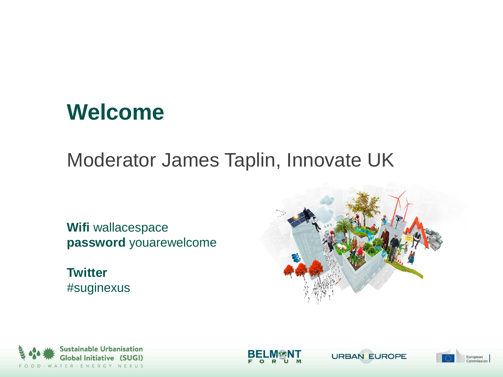#### **Welcome**

#### Moderator James Taplin, Innovate UK

**Wifi** wallacespace **password** youarewelcome

**Twitter**  #suginexus









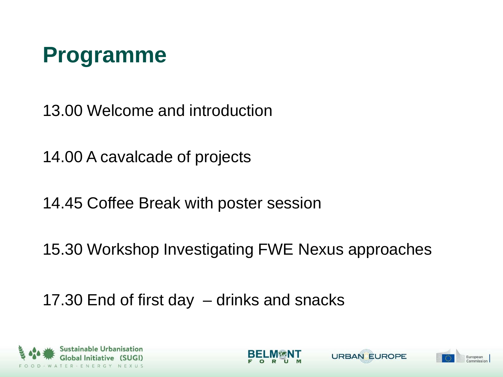

13.00 Welcome and introduction

14.00 A cavalcade of projects

14.45 Coffee Break with poster session

15.30 Workshop Investigating FWE Nexus approaches

17.30 End of first day – drinks and snacks







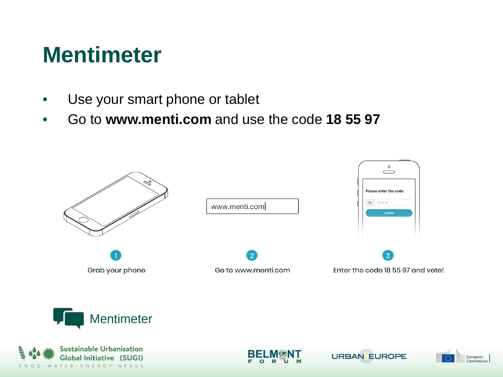### **Mentimeter**

- Use your smart phone or tablet
- Go to **www.menti.com** and use the code **18 55 97**









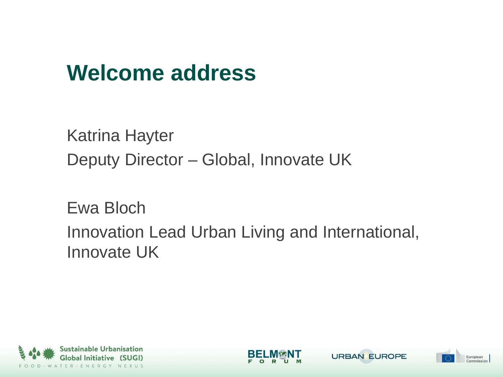### **Welcome address**

Katrina Hayter Deputy Director – Global, Innovate UK

Ewa Bloch Innovation Lead Urban Living and International, Innovate UK





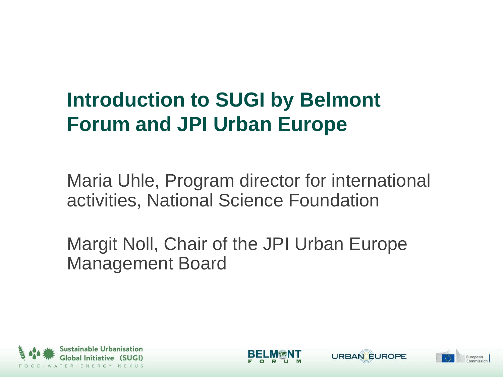### **Introduction to SUGI by Belmont Forum and JPI Urban Europe**

Maria Uhle, Program director for international activities, National Science Foundation

Margit Noll, Chair of the JPI Urban Europe Management Board





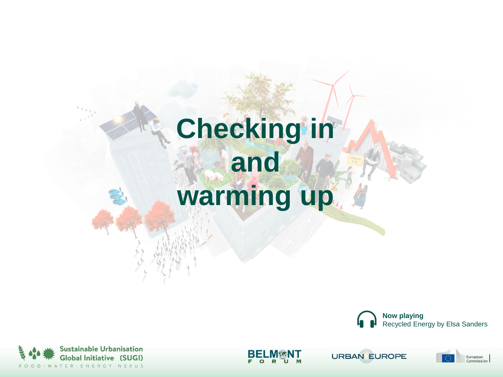# **Checking in and warming up**





R



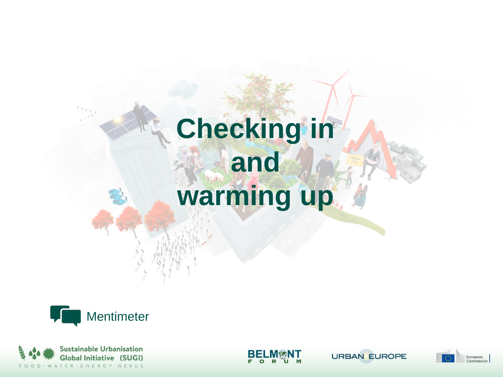# **Checking in and warming up**





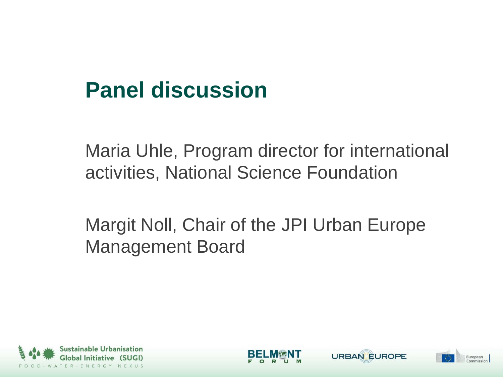## **Panel discussion**

Maria Uhle, Program director for international activities, National Science Foundation

Margit Noll, Chair of the JPI Urban Europe Management Board





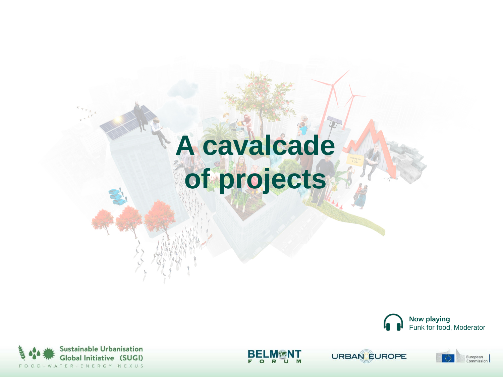# **A cavalcade of projects**





R

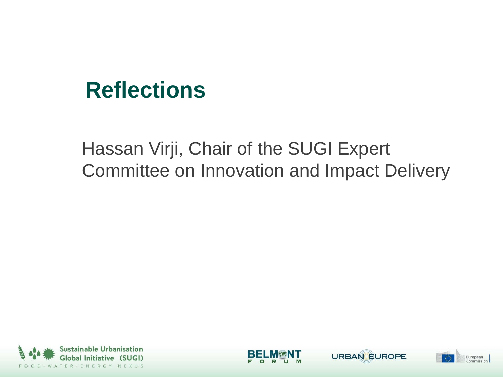#### **Reflections**

#### Hassan Virji, Chair of the SUGI Expert Committee on Innovation and Impact Delivery







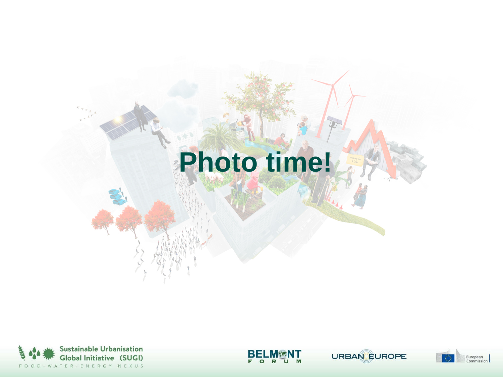## **Photo time!**





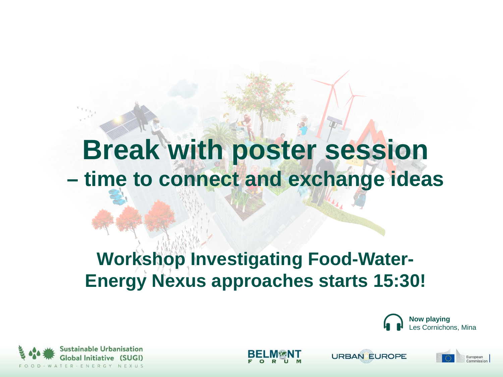## **Break with poster session – time to connect and exchange ideas**

#### **Workshop Investigating Food-Water-Energy Nexus approaches starts 15:30!**





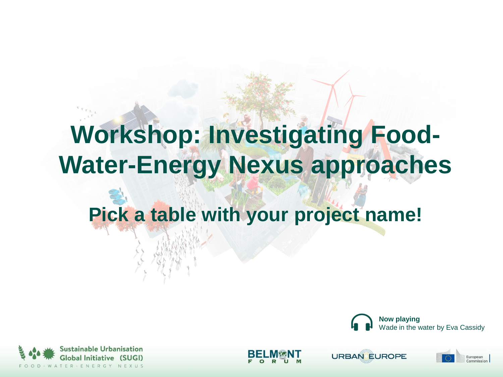## **Workshop: Investigating Food-Water-Energy Nexus approaches**

#### **Pick a table with your project name!**





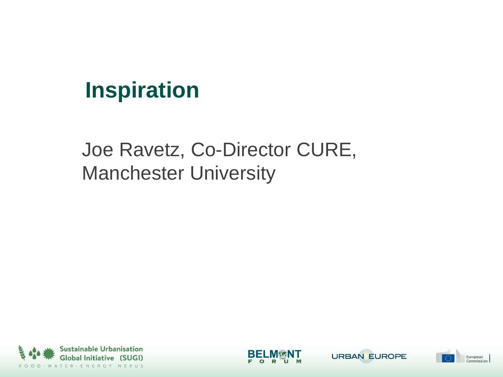### **Inspiration**

#### Joe Ravetz, Co-Director CURE, Manchester University







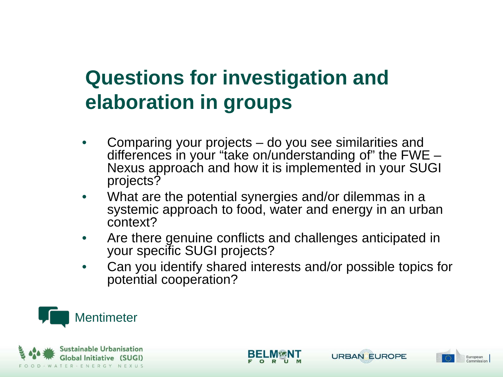#### **Questions for investigation and elaboration in groups**

- Comparing your projects do you see similarities and differences in your "take on/understanding of" the FWE –<br>Nexus approach and how it is implemented in your SUGI projects?
- What are the potential synergies and/or dilemmas in a systemic approach to food, water and energy in an urban context?
- Are there genuine conflicts and challenges anticipated in your specific SUGI projects?
- Can you identify shared interests and/or possible topics for potential cooperation?







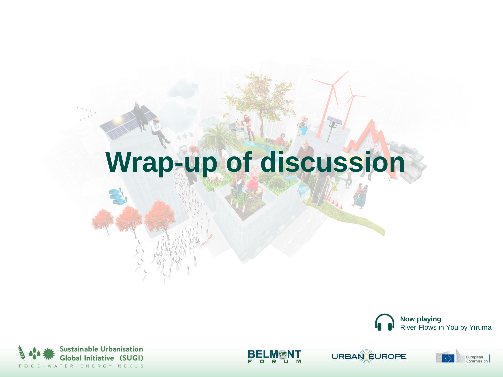## **Wrap-up of discussion**





БЕ  $\Omega$ R

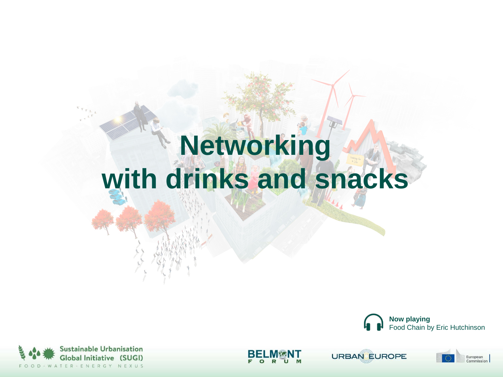## **Networking with drinks and snacks**







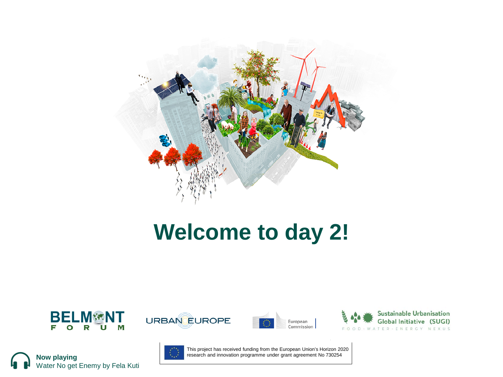

### **Welcome to day 2!**













This project has received funding from the European Union's Horizon 2020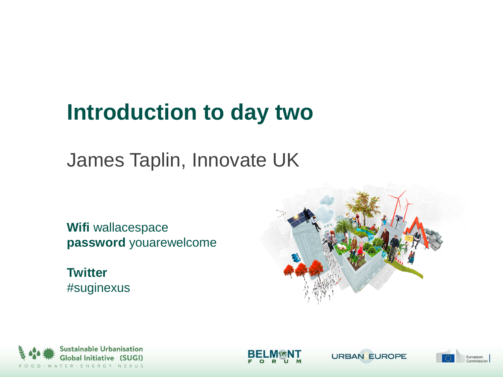## **Introduction to day two**

James Taplin, Innovate UK

**Wifi** wallacespace **password** youarewelcome

**Twitter**  #suginexus









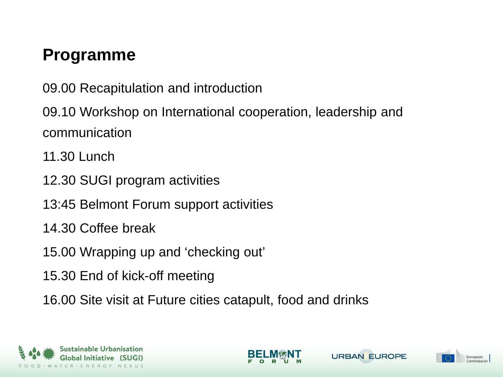#### **Programme**

09.00 Recapitulation and introduction

09.10 Workshop on International cooperation, leadership and communication

- 11.30 Lunch
- 12.30 SUGI program activities
- 13:45 Belmont Forum support activities
- 14.30 Coffee break
- 15.00 Wrapping up and 'checking out'
- 15.30 End of kick-off meeting
- 16.00 Site visit at Future cities catapult, food and drinks







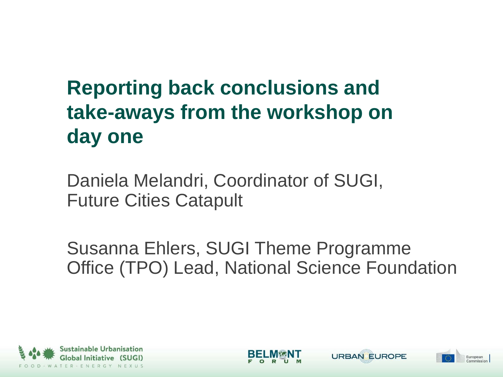### **Reporting back conclusions and take-aways from the workshop on day one**

Daniela Melandri, Coordinator of SUGI, Future Cities Catapult

Susanna Ehlers, SUGI Theme Programme Office (TPO) Lead, National Science Foundation







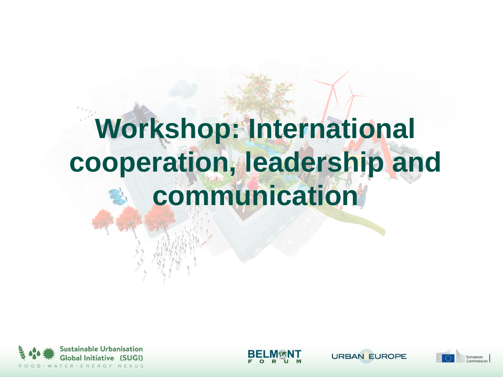## **Workshop: International cooperation, leadership and communication**





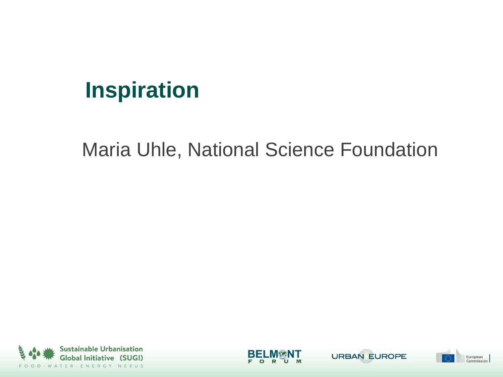### **Inspiration**

Maria Uhle, National Science Foundation







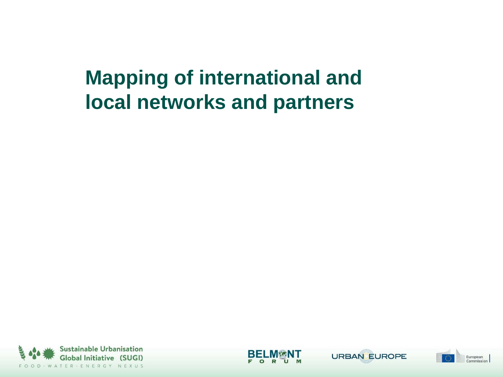#### **Mapping of international and local networks and partners**







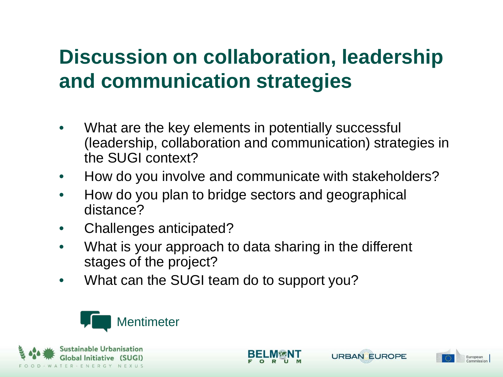#### **Discussion on collaboration, leadership and communication strategies**

- What are the key elements in potentially successful (leadership, collaboration and communication) strategies in the SUGI context?
- How do you involve and communicate with stakeholders?
- How do you plan to bridge sectors and geographical distance?
- Challenges anticipated?
- What is your approach to data sharing in the different stages of the project?

**URBAN EUROPE** 

European

• What can the SUGI team do to support you?



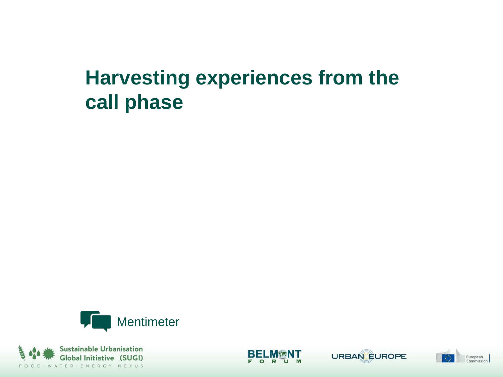#### **Harvesting experiences from the call phase**







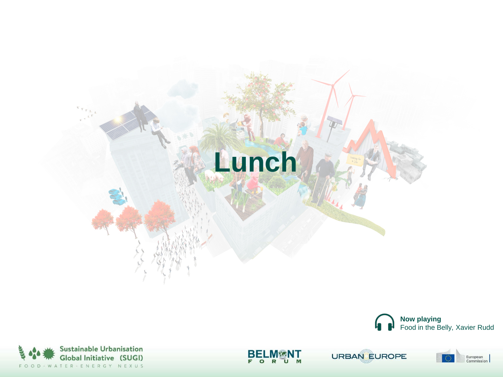







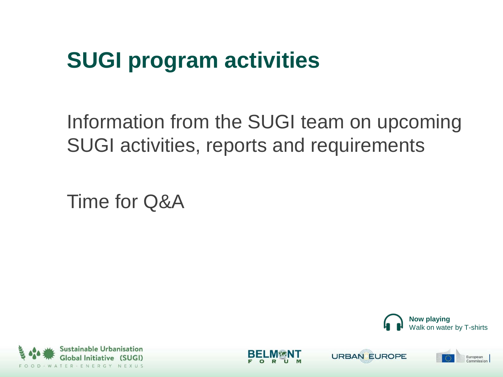## **SUGI program activities**

Information from the SUGI team on upcoming SUGI activities, reports and requirements

Time for Q&A









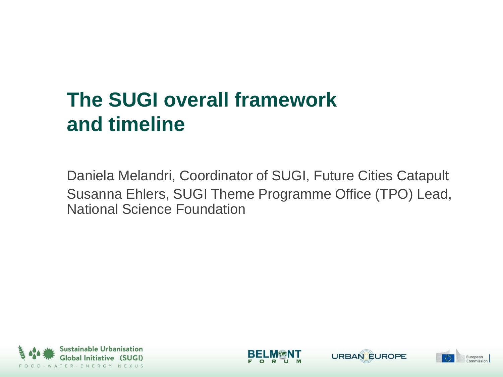#### **The SUGI overall framework and timeline**

Daniela Melandri, Coordinator of SUGI, Future Cities Catapult Susanna Ehlers, SUGI Theme Programme Office (TPO) Lead, National Science Foundation







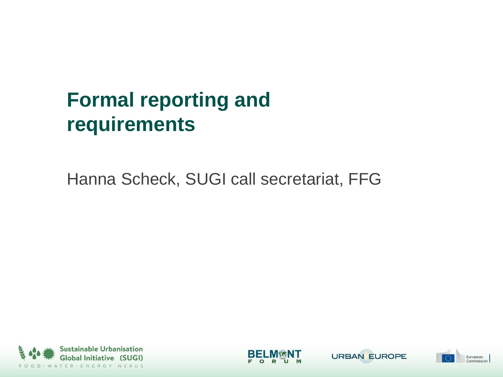### **Formal reporting and requirements**

#### Hanna Scheck, SUGI call secretariat, FFG







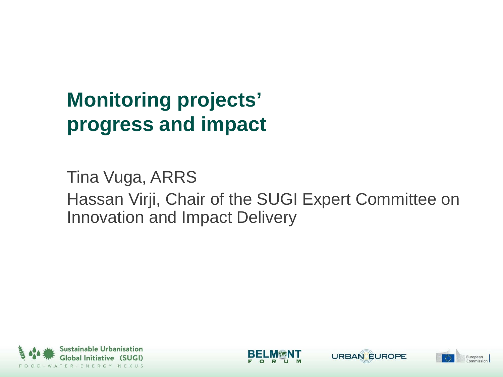### **Monitoring projects' progress and impact**

Tina Vuga, ARRS Hassan Virji, Chair of the SUGI Expert Committee on Innovation and Impact Delivery







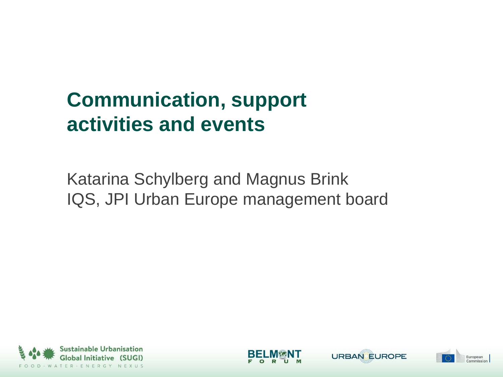#### **Communication, support activities and events**

Katarina Schylberg and Magnus Brink IQS, JPI Urban Europe management board







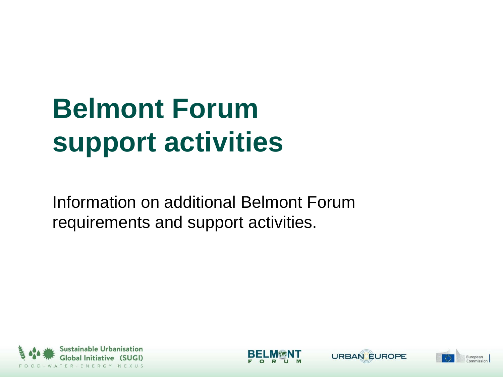# **Belmont Forum support activities**

Information on additional Belmont Forum requirements and support activities.







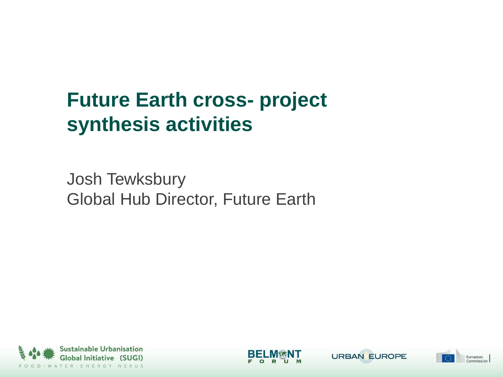#### **Future Earth cross- project synthesis activities**

Josh Tewksbury Global Hub Director, Future Earth







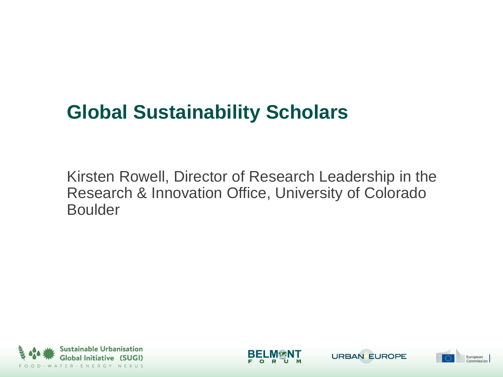#### **Global Sustainability Scholars**

Kirsten Rowell, Director of Research Leadership in the Research & Innovation Office, University of Colorado Boulder







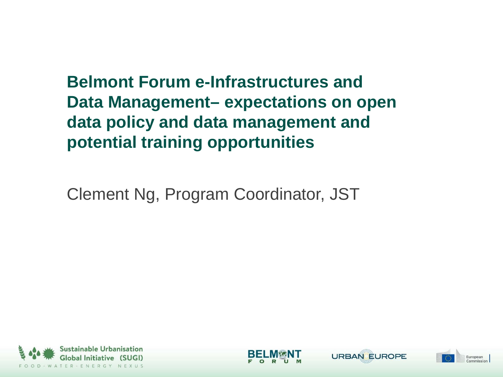**Belmont Forum e-Infrastructures and Data Management– expectations on open data policy and data management and potential training opportunities**

Clement Ng, Program Coordinator, JST







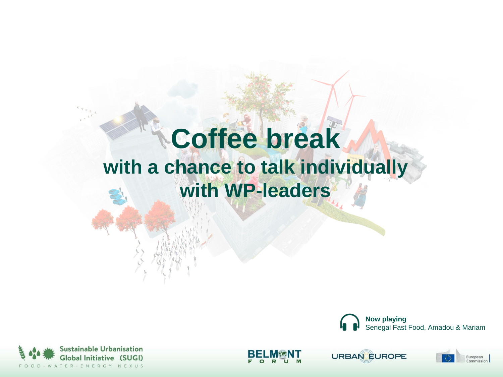## **Coffee break with a chance to talk individually with WP-leaders**





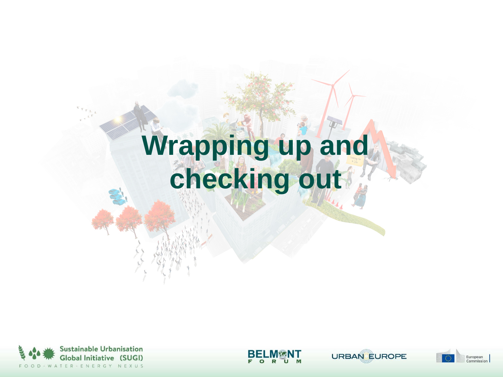## **Wrapping up and checking out**





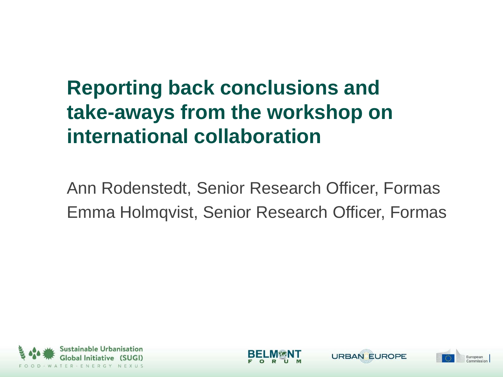### **Reporting back conclusions and take-aways from the workshop on international collaboration**

Ann Rodenstedt, Senior Research Officer, Formas Emma Holmqvist, Senior Research Officer, Formas







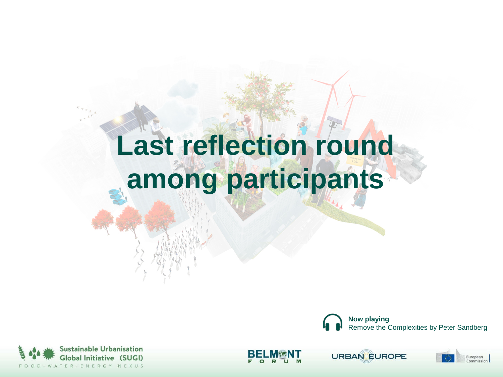# **Last reflection round among participants**